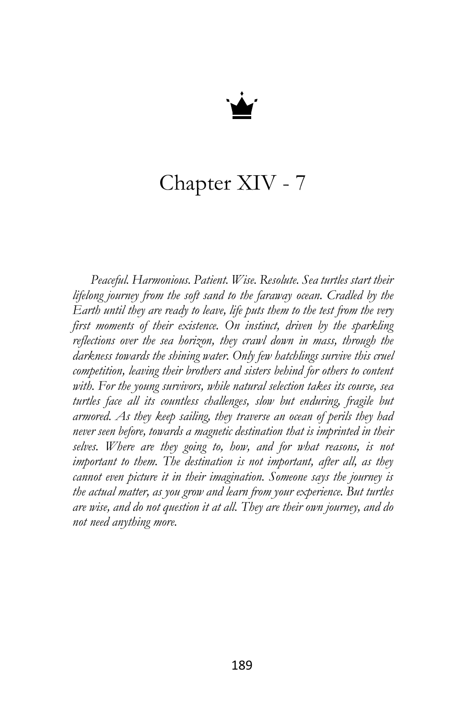

## Chapter XIV - 7

*Peaceful. Harmonious. Patient. Wise. Resolute. Sea turtles start their lifelong journey from the soft sand to the faraway ocean. Cradled by the Earth until they are ready to leave, life puts them to the test from the very first moments of their existence. On instinct, driven by the sparkling reflections over the sea horizon, they crawl down in mass, through the darkness towards the shining water. Only few hatchlings survive this cruel competition, leaving their brothers and sisters behind for others to content with. For the young survivors, while natural selection takes its course, sea turtles face all its countless challenges, slow but enduring, fragile but armored. As they keep sailing, they traverse an ocean of perils they had never seen before, towards a magnetic destination that is imprinted in their selves. Where are they going to, how, and for what reasons, is not important to them. The destination is not important, after all, as they cannot even picture it in their imagination. Someone says the journey is the actual matter, as you grow and learn from your experience. But turtles are wise, and do not question it at all. They are their own journey, and do not need anything more.*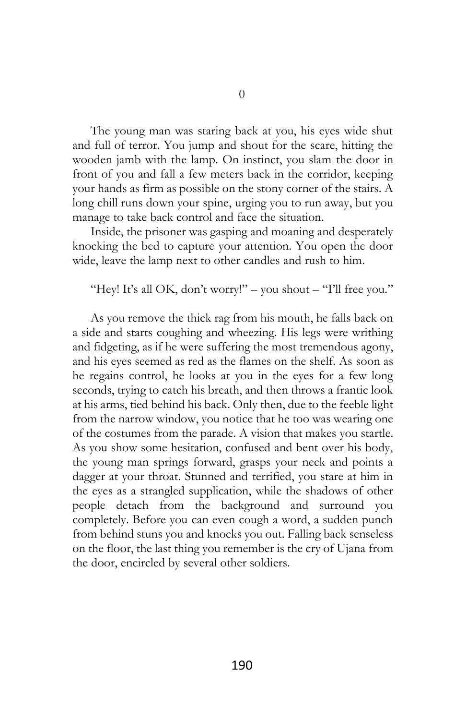The young man was staring back at you, his eyes wide shut and full of terror. You jump and shout for the scare, hitting the wooden jamb with the lamp. On instinct, you slam the door in front of you and fall a few meters back in the corridor, keeping your hands as firm as possible on the stony corner of the stairs. A long chill runs down your spine, urging you to run away, but you manage to take back control and face the situation.

Inside, the prisoner was gasping and moaning and desperately knocking the bed to capture your attention. You open the door wide, leave the lamp next to other candles and rush to him.

"Hey! It's all OK, don't worry!" – you shout – "I'll free you."

As you remove the thick rag from his mouth, he falls back on a side and starts coughing and wheezing. His legs were writhing and fidgeting, as if he were suffering the most tremendous agony, and his eyes seemed as red as the flames on the shelf. As soon as he regains control, he looks at you in the eyes for a few long seconds, trying to catch his breath, and then throws a frantic look at his arms, tied behind his back. Only then, due to the feeble light from the narrow window, you notice that he too was wearing one of the costumes from the parade. A vision that makes you startle. As you show some hesitation, confused and bent over his body, the young man springs forward, grasps your neck and points a dagger at your throat. Stunned and terrified, you stare at him in the eyes as a strangled supplication, while the shadows of other people detach from the background and surround you completely. Before you can even cough a word, a sudden punch from behind stuns you and knocks you out. Falling back senseless on the floor, the last thing you remember is the cry of Ujana from the door, encircled by several other soldiers.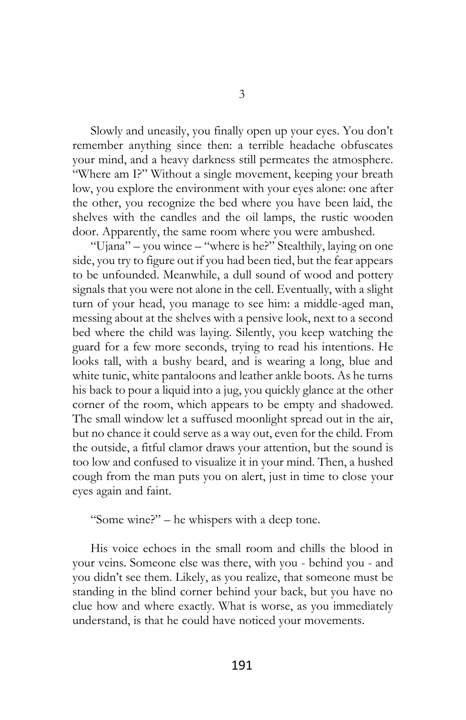Slowly and uneasily, you finally open up your eyes. You don't remember anything since then: a terrible headache obfuscates your mind, and a heavy darkness still permeates the atmosphere. "Where am I?" Without a single movement, keeping your breath low, you explore the environment with your eyes alone: one after the other, you recognize the bed where you have been laid, the shelves with the candles and the oil lamps, the rustic wooden door. Apparently, the same room where you were ambushed.

"Ujana" – you wince – "where is he?" Stealthily, laying on one side, you try to figure out if you had been tied, but the fear appears to be unfounded. Meanwhile, a dull sound of wood and pottery signals that you were not alone in the cell. Eventually, with a slight turn of your head, you manage to see him: a middle-aged man, messing about at the shelves with a pensive look, next to a second bed where the child was laying. Silently, you keep watching the guard for a few more seconds, trying to read his intentions. He looks tall, with a bushy beard, and is wearing a long, blue and white tunic, white pantaloons and leather ankle boots. As he turns his back to pour a liquid into a jug, you quickly glance at the other corner of the room, which appears to be empty and shadowed. The small window let a suffused moonlight spread out in the air, but no chance it could serve as a way out, even for the child. From the outside, a fitful clamor draws your attention, but the sound is too low and confused to visualize it in your mind. Then, a hushed cough from the man puts you on alert, just in time to close your eyes again and faint.

"Some wine?" – he whispers with a deep tone.

His voice echoes in the small room and chills the blood in your veins. Someone else was there, with you - behind you - and you didn't see them. Likely, as you realize, that someone must be standing in the blind corner behind your back, but you have no clue how and where exactly. What is worse, as you immediately understand, is that he could have noticed your movements.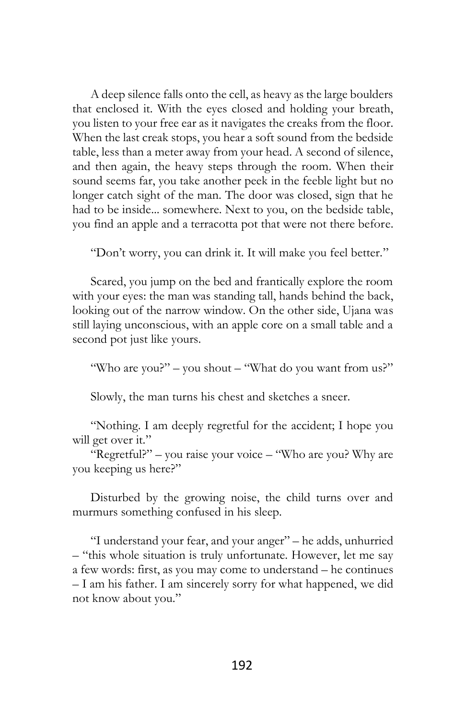A deep silence falls onto the cell, as heavy as the large boulders that enclosed it. With the eyes closed and holding your breath, you listen to your free ear as it navigates the creaks from the floor. When the last creak stops, you hear a soft sound from the bedside table, less than a meter away from your head. A second of silence, and then again, the heavy steps through the room. When their sound seems far, you take another peek in the feeble light but no longer catch sight of the man. The door was closed, sign that he had to be inside... somewhere. Next to you, on the bedside table, you find an apple and a terracotta pot that were not there before.

"Don't worry, you can drink it. It will make you feel better."

Scared, you jump on the bed and frantically explore the room with your eyes: the man was standing tall, hands behind the back, looking out of the narrow window. On the other side, Ujana was still laying unconscious, with an apple core on a small table and a second pot just like yours.

"Who are you?" – you shout – "What do you want from us?"

Slowly, the man turns his chest and sketches a sneer.

"Nothing. I am deeply regretful for the accident; I hope you will get over it."

"Regretful?" – you raise your voice – "Who are you? Why are you keeping us here?"

Disturbed by the growing noise, the child turns over and murmurs something confused in his sleep.

"I understand your fear, and your anger" – he adds, unhurried – "this whole situation is truly unfortunate. However, let me say a few words: first, as you may come to understand – he continues – I am his father. I am sincerely sorry for what happened, we did not know about you."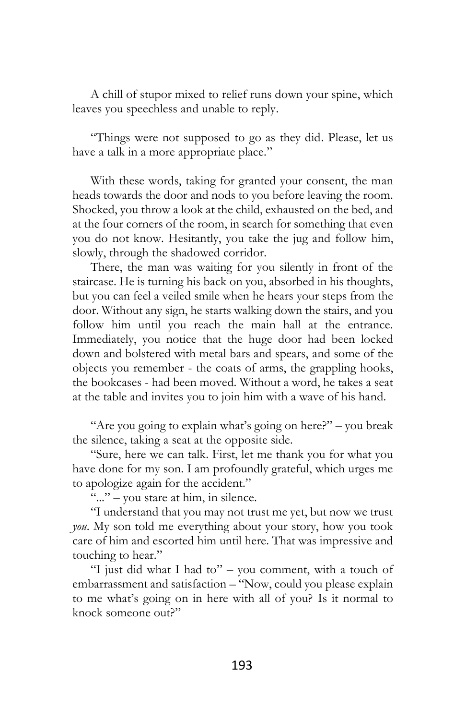A chill of stupor mixed to relief runs down your spine, which leaves you speechless and unable to reply.

"Things were not supposed to go as they did. Please, let us have a talk in a more appropriate place."

With these words, taking for granted your consent, the man heads towards the door and nods to you before leaving the room. Shocked, you throw a look at the child, exhausted on the bed, and at the four corners of the room, in search for something that even you do not know. Hesitantly, you take the jug and follow him, slowly, through the shadowed corridor.

There, the man was waiting for you silently in front of the staircase. He is turning his back on you, absorbed in his thoughts, but you can feel a veiled smile when he hears your steps from the door. Without any sign, he starts walking down the stairs, and you follow him until you reach the main hall at the entrance. Immediately, you notice that the huge door had been locked down and bolstered with metal bars and spears, and some of the objects you remember - the coats of arms, the grappling hooks, the bookcases - had been moved. Without a word, he takes a seat at the table and invites you to join him with a wave of his hand.

"Are you going to explain what's going on here?" – you break the silence, taking a seat at the opposite side.

"Sure, here we can talk. First, let me thank you for what you have done for my son. I am profoundly grateful, which urges me to apologize again for the accident."

"..." – you stare at him, in silence.

"I understand that you may not trust me yet, but now we trust *you*. My son told me everything about your story, how you took care of him and escorted him until here. That was impressive and touching to hear."

"I just did what I had to" – you comment, with a touch of embarrassment and satisfaction – "Now, could you please explain to me what's going on in here with all of you? Is it normal to knock someone out?"